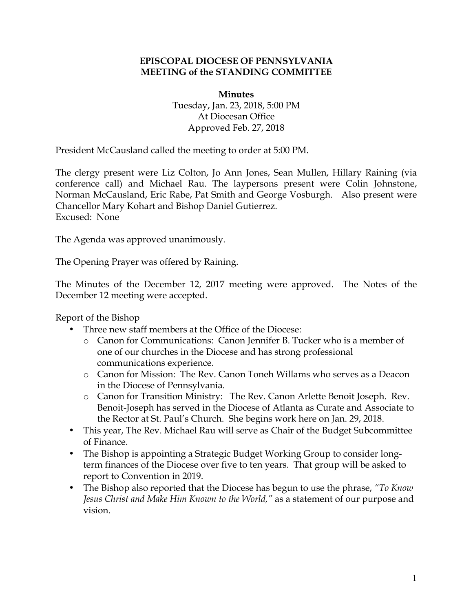#### **EPISCOPAL DIOCESE OF PENNSYLVANIA MEETING of the STANDING COMMITTEE**

#### **Minutes**

Tuesday, Jan. 23, 2018, 5:00 PM At Diocesan Office Approved Feb. 27, 2018

President McCausland called the meeting to order at 5:00 PM.

The clergy present were Liz Colton, Jo Ann Jones, Sean Mullen, Hillary Raining (via conference call) and Michael Rau. The laypersons present were Colin Johnstone, Norman McCausland, Eric Rabe, Pat Smith and George Vosburgh. Also present were Chancellor Mary Kohart and Bishop Daniel Gutierrez. Excused: None

The Agenda was approved unanimously.

The Opening Prayer was offered by Raining.

The Minutes of the December 12, 2017 meeting were approved. The Notes of the December 12 meeting were accepted.

Report of the Bishop

- Three new staff members at the Office of the Diocese:
	- o Canon for Communications: Canon Jennifer B. Tucker who is a member of one of our churches in the Diocese and has strong professional communications experience.
	- o Canon for Mission: The Rev. Canon Toneh Willams who serves as a Deacon in the Diocese of Pennsylvania.
	- o Canon for Transition Ministry: The Rev. Canon Arlette Benoit Joseph. Rev. Benoit-Joseph has served in the Diocese of Atlanta as Curate and Associate to the Rector at St. Paul's Church. She begins work here on Jan. 29, 2018.
- This year, The Rev. Michael Rau will serve as Chair of the Budget Subcommittee of Finance.
- The Bishop is appointing a Strategic Budget Working Group to consider longterm finances of the Diocese over five to ten years. That group will be asked to report to Convention in 2019.
- The Bishop also reported that the Diocese has begun to use the phrase, *"To Know Jesus Christ and Make Him Known to the World,"* as a statement of our purpose and vision.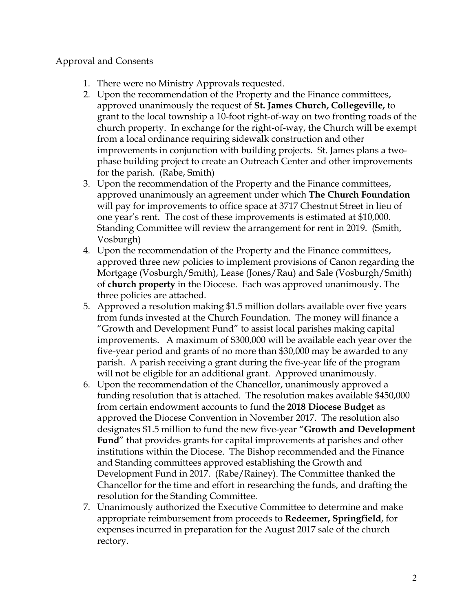### Approval and Consents

- 1. There were no Ministry Approvals requested.
- 2. Upon the recommendation of the Property and the Finance committees, approved unanimously the request of **St. James Church, Collegeville,** to grant to the local township a 10-foot right-of-way on two fronting roads of the church property. In exchange for the right-of-way, the Church will be exempt from a local ordinance requiring sidewalk construction and other improvements in conjunction with building projects. St. James plans a twophase building project to create an Outreach Center and other improvements for the parish. (Rabe, Smith)
- 3. Upon the recommendation of the Property and the Finance committees, approved unanimously an agreement under which **The Church Foundation** will pay for improvements to office space at 3717 Chestnut Street in lieu of one year's rent. The cost of these improvements is estimated at \$10,000. Standing Committee will review the arrangement for rent in 2019. (Smith, Vosburgh)
- 4. Upon the recommendation of the Property and the Finance committees, approved three new policies to implement provisions of Canon regarding the Mortgage (Vosburgh/Smith), Lease (Jones/Rau) and Sale (Vosburgh/Smith) of **church property** in the Diocese. Each was approved unanimously. The three policies are attached.
- 5. Approved a resolution making \$1.5 million dollars available over five years from funds invested at the Church Foundation. The money will finance a "Growth and Development Fund" to assist local parishes making capital improvements. A maximum of \$300,000 will be available each year over the five-year period and grants of no more than \$30,000 may be awarded to any parish. A parish receiving a grant during the five-year life of the program will not be eligible for an additional grant. Approved unanimously.
- 6. Upon the recommendation of the Chancellor, unanimously approved a funding resolution that is attached. The resolution makes available \$450,000 from certain endowment accounts to fund the **2018 Diocese Budget** as approved the Diocese Convention in November 2017. The resolution also designates \$1.5 million to fund the new five-year "**Growth and Development Fund**" that provides grants for capital improvements at parishes and other institutions within the Diocese. The Bishop recommended and the Finance and Standing committees approved establishing the Growth and Development Fund in 2017. (Rabe/Rainey). The Committee thanked the Chancellor for the time and effort in researching the funds, and drafting the resolution for the Standing Committee.
- 7. Unanimously authorized the Executive Committee to determine and make appropriate reimbursement from proceeds to **Redeemer, Springfield**, for expenses incurred in preparation for the August 2017 sale of the church rectory.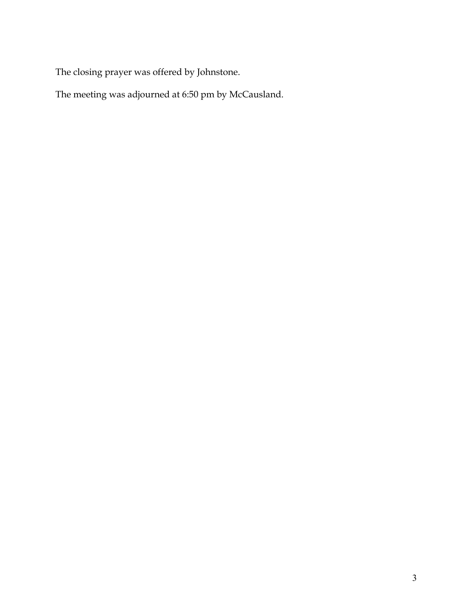The closing prayer was offered by Johnstone.

The meeting was adjourned at 6:50 pm by McCausland.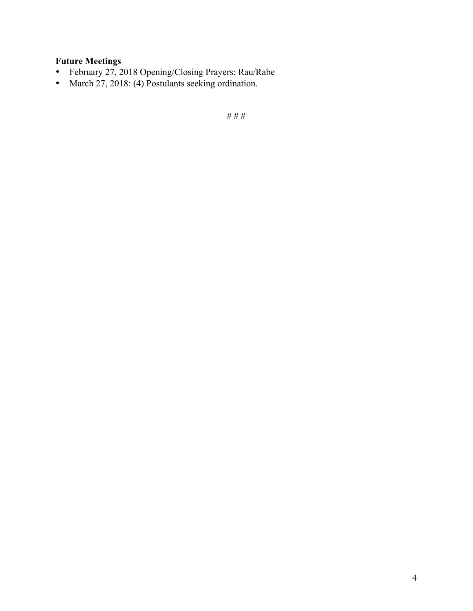## **Future Meetings**

- February 27, 2018 Opening/Closing Prayers: Rau/Rabe
- March 27, 2018: (4) Postulants seeking ordination.

# # #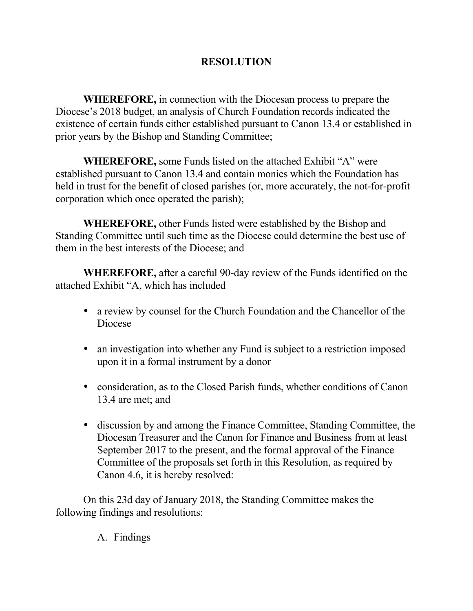# **RESOLUTION**

**WHEREFORE,** in connection with the Diocesan process to prepare the Diocese's 2018 budget, an analysis of Church Foundation records indicated the existence of certain funds either established pursuant to Canon 13.4 or established in prior years by the Bishop and Standing Committee;

**WHEREFORE,** some Funds listed on the attached Exhibit "A" were established pursuant to Canon 13.4 and contain monies which the Foundation has held in trust for the benefit of closed parishes (or, more accurately, the not-for-profit corporation which once operated the parish);

**WHEREFORE,** other Funds listed were established by the Bishop and Standing Committee until such time as the Diocese could determine the best use of them in the best interests of the Diocese; and

**WHEREFORE,** after a careful 90-day review of the Funds identified on the attached Exhibit "A, which has included

- a review by counsel for the Church Foundation and the Chancellor of the Diocese
- an investigation into whether any Fund is subject to a restriction imposed upon it in a formal instrument by a donor
- consideration, as to the Closed Parish funds, whether conditions of Canon 13.4 are met; and
- discussion by and among the Finance Committee, Standing Committee, the Diocesan Treasurer and the Canon for Finance and Business from at least September 2017 to the present, and the formal approval of the Finance Committee of the proposals set forth in this Resolution, as required by Canon 4.6, it is hereby resolved:

On this 23d day of January 2018, the Standing Committee makes the following findings and resolutions:

A. Findings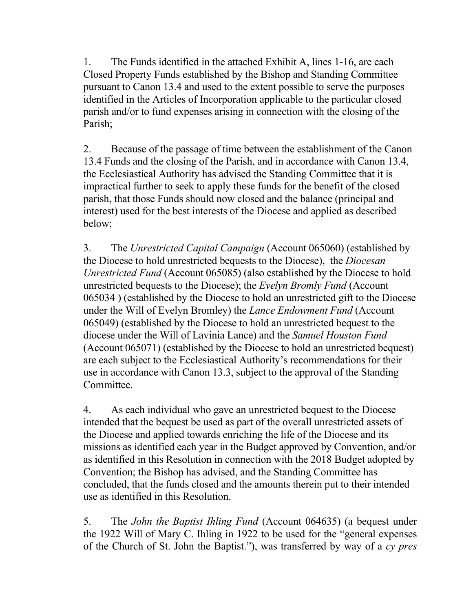1. The Funds identified in the attached Exhibit A, lines 1-16, are each Closed Property Funds established by the Bishop and Standing Committee pursuant to Canon 13.4 and used to the extent possible to serve the purposes identified in the Articles of Incorporation applicable to the particular closed parish and/or to fund expenses arising in connection with the closing of the Parish;

2. Because of the passage of time between the establishment of the Canon 13.4 Funds and the closing of the Parish, and in accordance with Canon 13.4, the Ecclesiastical Authority has advised the Standing Committee that it is impractical further to seek to apply these funds for the benefit of the closed parish, that those Funds should now closed and the balance (principal and interest) used for the best interests of the Diocese and applied as described below;

3. The *Unrestricted Capital Campaign* (Account 065060) (established by the Diocese to hold unrestricted bequests to the Diocese), the *Diocesan Unrestricted Fund* (Account 065085) (also established by the Diocese to hold unrestricted bequests to the Diocese); the *Evelyn Bromly Fund* (Account 065034 ) (established by the Diocese to hold an unrestricted gift to the Diocese under the Will of Evelyn Bromley) the *Lance Endowment Fund* (Account 065049) (established by the Diocese to hold an unrestricted bequest to the diocese under the Will of Lavinia Lance) and the *Samuel Houston Fund* (Account 065071) (established by the Diocese to hold an unrestricted bequest) are each subject to the Ecclesiastical Authority's recommendations for their use in accordance with Canon 13.3, subject to the approval of the Standing Committee.

4. As each individual who gave an unrestricted bequest to the Diocese intended that the bequest be used as part of the overall unrestricted assets of the Diocese and applied towards enriching the life of the Diocese and its missions as identified each year in the Budget approved by Convention, and/or as identified in this Resolution in connection with the 2018 Budget adopted by Convention; the Bishop has advised, and the Standing Committee has concluded, that the funds closed and the amounts therein put to their intended use as identified in this Resolution.

5. The *John the Baptist Ihling Fund* (Account 064635) (a bequest under the 1922 Will of Mary C. Ihling in 1922 to be used for the "general expenses of the Church of St. John the Baptist."), was transferred by way of a *cy pres*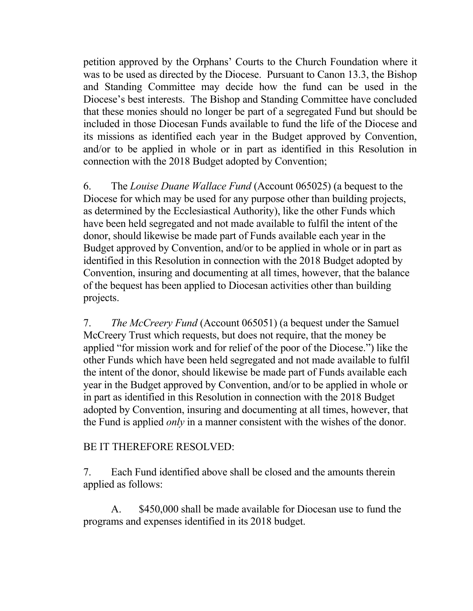petition approved by the Orphans' Courts to the Church Foundation where it was to be used as directed by the Diocese. Pursuant to Canon 13.3, the Bishop and Standing Committee may decide how the fund can be used in the Diocese's best interests. The Bishop and Standing Committee have concluded that these monies should no longer be part of a segregated Fund but should be included in those Diocesan Funds available to fund the life of the Diocese and its missions as identified each year in the Budget approved by Convention, and/or to be applied in whole or in part as identified in this Resolution in connection with the 2018 Budget adopted by Convention;

6. The *Louise Duane Wallace Fund* (Account 065025) (a bequest to the Diocese for which may be used for any purpose other than building projects, as determined by the Ecclesiastical Authority), like the other Funds which have been held segregated and not made available to fulfil the intent of the donor, should likewise be made part of Funds available each year in the Budget approved by Convention, and/or to be applied in whole or in part as identified in this Resolution in connection with the 2018 Budget adopted by Convention, insuring and documenting at all times, however, that the balance of the bequest has been applied to Diocesan activities other than building projects.

7. *The McCreery Fund* (Account 065051) (a bequest under the Samuel McCreery Trust which requests, but does not require, that the money be applied "for mission work and for relief of the poor of the Diocese.") like the other Funds which have been held segregated and not made available to fulfil the intent of the donor, should likewise be made part of Funds available each year in the Budget approved by Convention, and/or to be applied in whole or in part as identified in this Resolution in connection with the 2018 Budget adopted by Convention, insuring and documenting at all times, however, that the Fund is applied *only* in a manner consistent with the wishes of the donor.

## BE IT THEREFORE RESOLVED:

7. Each Fund identified above shall be closed and the amounts therein applied as follows:

A. \$450,000 shall be made available for Diocesan use to fund the programs and expenses identified in its 2018 budget.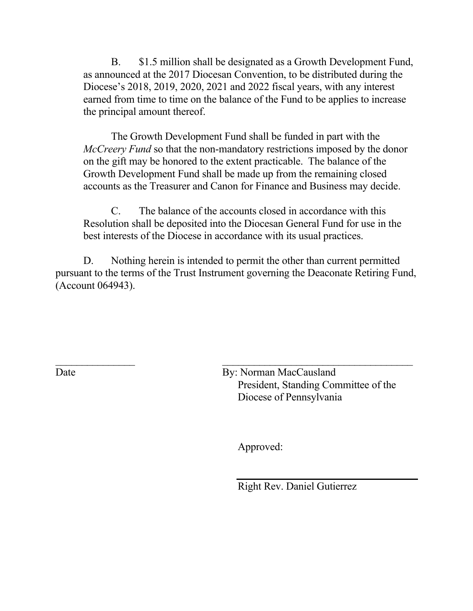B. \$1.5 million shall be designated as a Growth Development Fund, as announced at the 2017 Diocesan Convention, to be distributed during the Diocese's 2018, 2019, 2020, 2021 and 2022 fiscal years, with any interest earned from time to time on the balance of the Fund to be applies to increase the principal amount thereof.

The Growth Development Fund shall be funded in part with the *McCreery Fund* so that the non-mandatory restrictions imposed by the donor on the gift may be honored to the extent practicable. The balance of the Growth Development Fund shall be made up from the remaining closed accounts as the Treasurer and Canon for Finance and Business may decide.

C. The balance of the accounts closed in accordance with this Resolution shall be deposited into the Diocesan General Fund for use in the best interests of the Diocese in accordance with its usual practices.

D. Nothing herein is intended to permit the other than current permitted pursuant to the terms of the Trust Instrument governing the Deaconate Retiring Fund, (Account 064943).

 $\mathcal{L}_\text{max}$  and the contract of the contract of the contract of the contract of the contract of the contract of the contract of the contract of the contract of the contract of the contract of the contract of the contrac Date By: Norman MacCausland President, Standing Committee of the Diocese of Pennsylvania

Approved:

Right Rev. Daniel Gutierrez